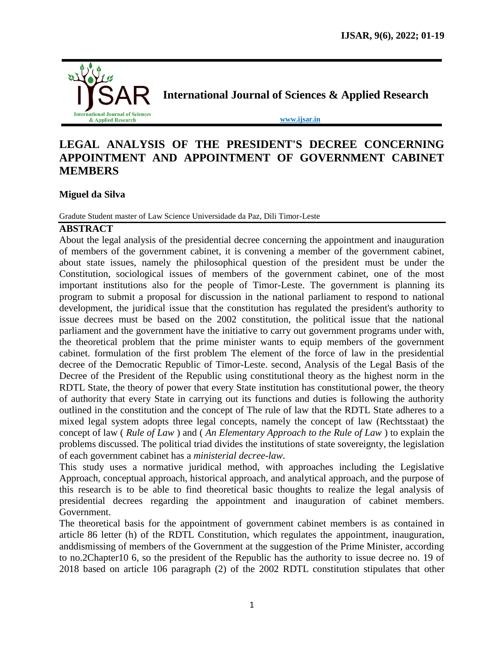

# **LEGAL ANALYSIS OF THE PRESIDENT'S DECREE CONCERNING APPOINTMENT AND APPOINTMENT OF GOVERNMENT CABINET MEMBERS**

## **Miguel da Silva**

Gradute Student master of Law Science Universidade da Paz, Dili Timor-Leste

#### **ABSTRACT**

About the legal analysis of the presidential decree concerning the appointment and inauguration of members of the government cabinet, it is convening a member of the government cabinet, about state issues, namely the philosophical question of the president must be under the Constitution, sociological issues of members of the government cabinet, one of the most important institutions also for the people of Timor-Leste. The government is planning its program to submit a proposal for discussion in the national parliament to respond to national development, the juridical issue that the constitution has regulated the president's authority to issue decrees must be based on the 2002 constitution, the political issue that the national parliament and the government have the initiative to carry out government programs under with, the theoretical problem that the prime minister wants to equip members of the government cabinet. formulation of the first problem The element of the force of law in the presidential decree of the Democratic Republic of Timor-Leste. second, Analysis of the Legal Basis of the Decree of the President of the Republic using constitutional theory as the highest norm in the RDTL State, the theory of power that every State institution has constitutional power, the theory of authority that every State in carrying out its functions and duties is following the authority outlined in the constitution and the concept of The rule of law that the RDTL State adheres to a mixed legal system adopts three legal concepts, namely the concept of law (Rechtsstaat) the concept of law ( *Rule of Law* ) and ( *An Elementary Approach to the Rule of Law* ) to explain the problems discussed. The political triad divides the institutions of state sovereignty, the legislation of each government cabinet has a *ministerial decree-law*.

This study uses a normative juridical method, with approaches including the Legislative Approach, conceptual approach, historical approach, and analytical approach, and the purpose of this research is to be able to find theoretical basic thoughts to realize the legal analysis of presidential decrees regarding the appointment and inauguration of cabinet members. Government.

The theoretical basis for the appointment of government cabinet members is as contained in article 86 letter (h) of the RDTL Constitution, which regulates the appointment, inauguration, anddismissing of members of the Government at the suggestion of the Prime Minister, according to no.2Chapter10 6, so the president of the Republic has the authority to issue decree no. 19 of 2018 based on article 106 paragraph (2) of the 2002 RDTL constitution stipulates that other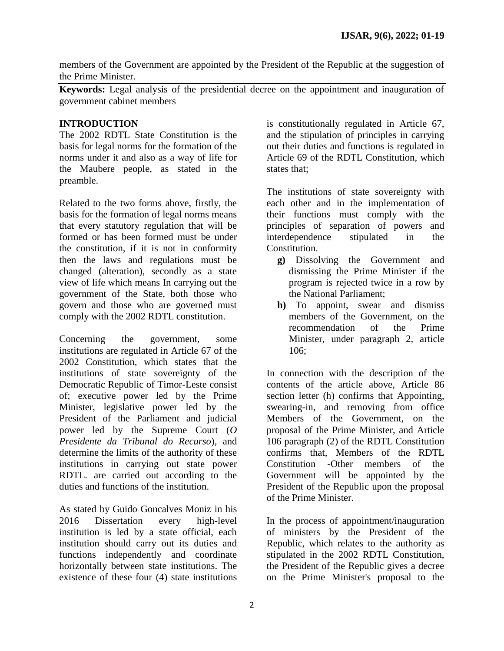members of the Government are appointed by the President of the Republic at the suggestion of the Prime Minister.

**Keywords:** Legal analysis of the presidential decree on the appointment and inauguration of government cabinet members

## **INTRODUCTION**

The 2002 RDTL State Constitution is the basis for legal norms for the formation of the norms under it and also as a way of life for the Maubere people, as stated in the preamble.

Related to the two forms above, firstly, the basis for the formation of legal norms means that every statutory regulation that will be formed or has been formed must be under the constitution, if it is not in conformity then the laws and regulations must be changed (alteration), secondly as a state view of life which means In carrying out the government of the State, both those who govern and those who are governed must comply with the 2002 RDTL constitution.

Concerning the government, some institutions are regulated in Article 67 of the 2002 Constitution, which states that the institutions of state sovereignty of the Democratic Republic of Timor-Leste consist of; executive power led by the Prime Minister, legislative power led by the President of the Parliament and judicial power led by the Supreme Court (*O Presidente da Tribunal do Recurso*), and determine the limits of the authority of these institutions in carrying out state power RDTL. are carried out according to the duties and functions of the institution.

As stated by Guido Goncalves Moniz in his 2016 Dissertation every high-level institution is led by a state official, each institution should carry out its duties and functions independently and coordinate horizontally between state institutions. The existence of these four (4) state institutions

is constitutionally regulated in Article 67, and the stipulation of principles in carrying out their duties and functions is regulated in Article 69 of the RDTL Constitution, which states that;

The institutions of state sovereignty with each other and in the implementation of their functions must comply with the principles of separation of powers and interdependence stipulated in the Constitution.

- **g)** Dissolving the Government and dismissing the Prime Minister if the program is rejected twice in a row by the National Parliament;
- **h)** To appoint, swear and dismiss members of the Government, on the recommendation of the Prime Minister, under paragraph 2, article 106;

In connection with the description of the contents of the article above, Article 86 section letter (h) confirms that Appointing, swearing-in, and removing from office Members of the Government, on the proposal of the Prime Minister, and Article 106 paragraph (2) of the RDTL Constitution confirms that, Members of the RDTL Constitution -Other members of the Government will be appointed by the President of the Republic upon the proposal of the Prime Minister.

In the process of appointment/inauguration of ministers by the President of the Republic, which relates to the authority as stipulated in the 2002 RDTL Constitution, the President of the Republic gives a decree on the Prime Minister's proposal to the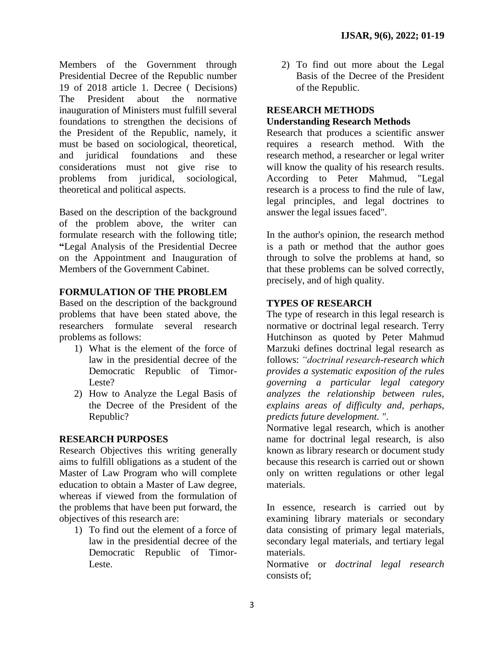Members of the Government through Presidential Decree of the Republic number 19 of 2018 article 1. Decree ( Decisions) The President about the normative inauguration of Ministers must fulfill several foundations to strengthen the decisions of the President of the Republic, namely, it must be based on sociological, theoretical, and juridical foundations and these considerations must not give rise to problems from juridical, sociological, theoretical and political aspects.

Based on the description of the background of the problem above, the writer can formulate research with the following title; **"**Legal Analysis of the Presidential Decree on the Appointment and Inauguration of Members of the Government Cabinet.

## **FORMULATION OF THE PROBLEM**

Based on the description of the background problems that have been stated above, the researchers formulate several research problems as follows:

- 1) What is the element of the force of law in the presidential decree of the Democratic Republic of Timor-Leste?
- 2) How to Analyze the Legal Basis of the Decree of the President of the Republic?

#### **RESEARCH PURPOSES**

Research Objectives this writing generally aims to fulfill obligations as a student of the Master of Law Program who will complete education to obtain a Master of Law degree, whereas if viewed from the formulation of the problems that have been put forward, the objectives of this research are:

1) To find out the element of a force of law in the presidential decree of the Democratic Republic of Timor-Leste.

2) To find out more about the Legal Basis of the Decree of the President of the Republic.

## **RESEARCH METHODS**

#### **Understanding Research Methods**

Research that produces a scientific answer requires a research method. With the research method, a researcher or legal writer will know the quality of his research results. According to Peter Mahmud, "Legal research is a process to find the rule of law, legal principles, and legal doctrines to answer the legal issues faced".

In the author's opinion, the research method is a path or method that the author goes through to solve the problems at hand, so that these problems can be solved correctly, precisely, and of high quality.

## **TYPES OF RESEARCH**

The type of research in this legal research is normative or doctrinal legal research. Terry Hutchinson as quoted by Peter Mahmud Marzuki defines doctrinal legal research as follows: *"doctrinal research-research which provides a systematic exposition of the rules governing a particular legal category analyzes the relationship between rules, explains areas of difficulty and, perhaps, predicts future development. "*.

Normative legal research, which is another name for doctrinal legal research, is also known as library research or document study because this research is carried out or shown only on written regulations or other legal materials.

In essence, research is carried out by examining library materials or secondary data consisting of primary legal materials, secondary legal materials, and tertiary legal materials.

Normative or *doctrinal legal research*  consists of;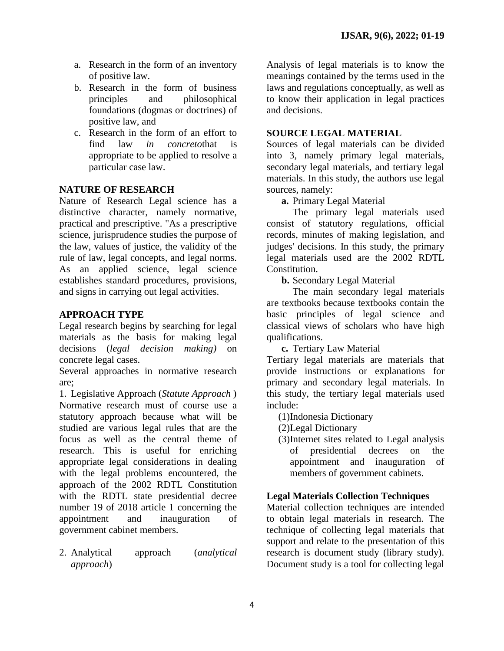- a. Research in the form of an inventory of positive law.
- b. Research in the form of business principles and philosophical foundations (dogmas or doctrines) of positive law, and
- c. Research in the form of an effort to find law *in concreto*that is appropriate to be applied to resolve a particular case law.

## **NATURE OF RESEARCH**

Nature of Research Legal science has a distinctive character, namely normative, practical and prescriptive. "As a prescriptive science, jurisprudence studies the purpose of the law, values of justice, the validity of the rule of law, legal concepts, and legal norms. As an applied science, legal science establishes standard procedures, provisions, and signs in carrying out legal activities.

#### **APPROACH TYPE**

Legal research begins by searching for legal materials as the basis for making legal decisions (*legal decision making)* on concrete legal cases.

Several approaches in normative research are;

1. Legislative Approach (*Statute Approach* ) Normative research must of course use a statutory approach because what will be studied are various legal rules that are the focus as well as the central theme of research. This is useful for enriching appropriate legal considerations in dealing with the legal problems encountered, the approach of the 2002 RDTL Constitution with the RDTL state presidential decree number 19 of 2018 article 1 concerning the appointment and inauguration of government cabinet members.

2. Analytical approach (*analytical approach*)

Analysis of legal materials is to know the meanings contained by the terms used in the laws and regulations conceptually, as well as to know their application in legal practices and decisions.

#### **SOURCE LEGAL MATERIAL**

Sources of legal materials can be divided into 3, namely primary legal materials, secondary legal materials, and tertiary legal materials. In this study, the authors use legal sources, namely:

**a.** Primary Legal Material

The primary legal materials used consist of statutory regulations, official records, minutes of making legislation, and judges' decisions. In this study, the primary legal materials used are the 2002 RDTL Constitution.

**b.** Secondary Legal Material

The main secondary legal materials are textbooks because textbooks contain the basic principles of legal science and classical views of scholars who have high qualifications.

**c.** Tertiary Law Material

Tertiary legal materials are materials that provide instructions or explanations for primary and secondary legal materials. In this study, the tertiary legal materials used include:

(1)Indonesia Dictionary

(2)Legal Dictionary

(3)Internet sites related to Legal analysis of presidential decrees on the appointment and inauguration of members of government cabinets.

#### **Legal Materials Collection Techniques**

Material collection techniques are intended to obtain legal materials in research. The technique of collecting legal materials that support and relate to the presentation of this research is document study (library study). Document study is a tool for collecting legal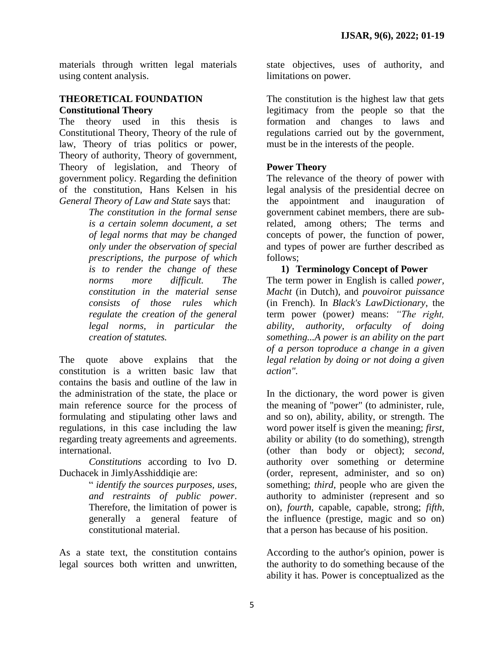materials through written legal materials using content analysis.

#### **THEORETICAL FOUNDATION Constitutional Theory**

The theory used in this thesis is Constitutional Theory, Theory of the rule of law, Theory of trias politics or power, Theory of authority, Theory of government, Theory of legislation, and Theory of government policy. Regarding the definition of the constitution, Hans Kelsen in his *General Theory of Law and State* says that:

> *The constitution in the formal sense is a certain solemn document, a set of legal norms that may be changed only under the observation of special prescriptions, the purpose of which is to render the change of these norms more difficult. The constitution in the material sense consists of those rules which regulate the creation of the general legal norms, in particular the creation of statutes.*

The quote above explains that the constitution is a written basic law that contains the basis and outline of the law in the administration of the state, the place or main reference source for the process of formulating and stipulating other laws and regulations, in this case including the law regarding treaty agreements and agreements. international.

*Constitutions* according to Ivo D. Duchacek in JimlyAsshiddiqie are:

> " *identify the sources purposes, uses, and restraints of public power*. Therefore, the limitation of power is generally a general feature of constitutional material.

As a state text, the constitution contains legal sources both written and unwritten, state objectives, uses of authority, and limitations on power.

The constitution is the highest law that gets legitimacy from the people so that the formation and changes to laws and regulations carried out by the government, must be in the interests of the people.

## **Power Theory**

The relevance of the theory of power with legal analysis of the presidential decree on the appointment and inauguration of government cabinet members, there are subrelated, among others; The terms and concepts of power, the function of power, and types of power are further described as follows;

## **1) Terminology Concept of Power**

The term power in English is called *power, Macht* (in Dutch), and *pouvoir*or *puissance*  (in French). In *Black's LawDictionary*, the term power (power*)* means: *"The right, ability, authority, orfaculty of doing something...A power is an ability on the part of a person toproduce a change in a given legal relation by doing or not doing a given action".*

In the dictionary, the word power is given the meaning of "power" (to administer, rule, and so on), ability, ability, or strength. The word power itself is given the meaning; *first*, ability or ability (to do something), strength (other than body or object); *second*, authority over something or determine (order, represent, administer, and so on) something; *third*, people who are given the authority to administer (represent and so on), *fourth*, capable, capable, strong; *fifth*, the influence (prestige, magic and so on) that a person has because of his position.

According to the author's opinion, power is the authority to do something because of the ability it has. Power is conceptualized as the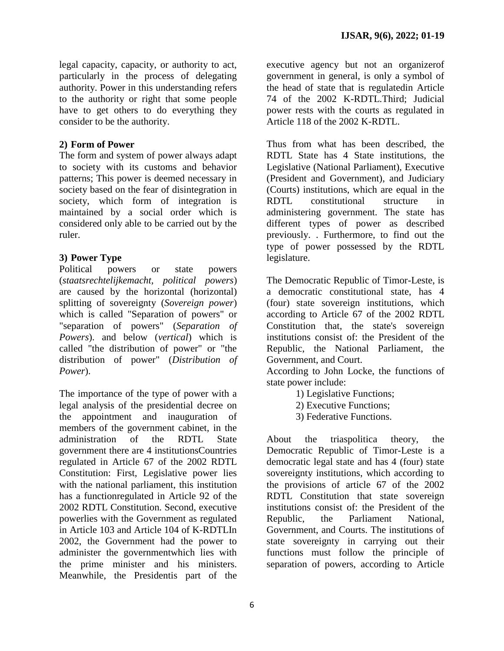legal capacity, capacity, or authority to act, particularly in the process of delegating authority. Power in this understanding refers to the authority or right that some people have to get others to do everything they consider to be the authority.

## **2) Form of Power**

The form and system of power always adapt to society with its customs and behavior patterns; This power is deemed necessary in society based on the fear of disintegration in society, which form of integration is maintained by a social order which is considered only able to be carried out by the ruler.

## **3) Power Type**

Political powers or state powers (*staatsrechtelijkemacht, political powers*) are caused by the horizontal (horizontal) splitting of sovereignty (*Sovereign power*) which is called "Separation of powers" or "separation of powers" (*Separation of Powers*). and below (*vertical*) which is called "the distribution of power" or "the distribution of power" (*Distribution of Power*).

The importance of the type of power with a legal analysis of the presidential decree on the appointment and inauguration of members of the government cabinet, in the administration of the RDTL State government there are 4 institutionsCountries regulated in Article 67 of the 2002 RDTL Constitution: First, Legislative power lies with the national parliament, this institution has a functionregulated in Article 92 of the 2002 RDTL Constitution. Second, executive powerlies with the Government as regulated in Article 103 and Article 104 of K-RDTLIn 2002, the Government had the power to administer the governmentwhich lies with the prime minister and his ministers. Meanwhile, the Presidentis part of the

executive agency but not an organizerof government in general, is only a symbol of the head of state that is regulatedin Article 74 of the 2002 K-RDTL.Third; Judicial power rests with the courts as regulated in Article 118 of the 2002 K-RDTL.

Thus from what has been described, the RDTL State has 4 State institutions, the Legislative (National Parliament), Executive (President and Government), and Judiciary (Courts) institutions, which are equal in the RDTL constitutional structure in administering government. The state has different types of power as described previously. . Furthermore, to find out the type of power possessed by the RDTL legislature.

The Democratic Republic of Timor-Leste, is a democratic constitutional state, has 4 (four) state sovereign institutions, which according to Article 67 of the 2002 RDTL Constitution that, the state's sovereign institutions consist of: the President of the Republic, the National Parliament, the Government, and Court.

According to John Locke, the functions of state power include:

- 1) Legislative Functions;
- 2) Executive Functions;
- 3) Federative Functions.

About the triaspolitica theory, the Democratic Republic of Timor-Leste is a democratic legal state and has 4 (four) state sovereignty institutions, which according to the provisions of article 67 of the 2002 RDTL Constitution that state sovereign institutions consist of: the President of the Republic, the Parliament National, Government, and Courts. The institutions of state sovereignty in carrying out their functions must follow the principle of separation of powers, according to Article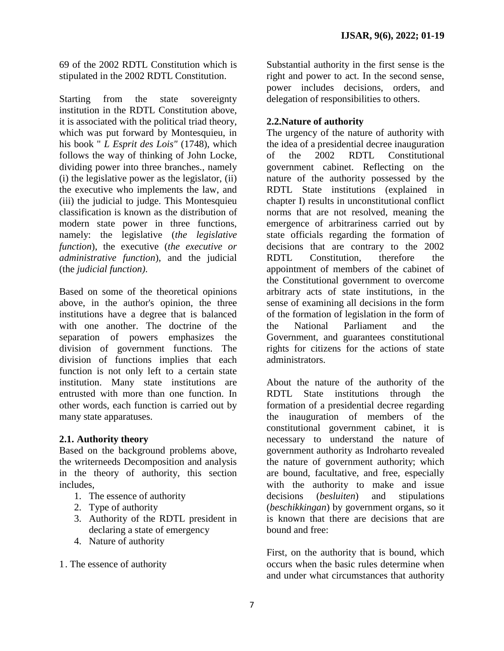69 of the 2002 RDTL Constitution which is stipulated in the 2002 RDTL Constitution.

Starting from the state sovereignty institution in the RDTL Constitution above, it is associated with the political triad theory, which was put forward by Montesquieu, in his book " *L Esprit des Lois"* (1748), which follows the way of thinking of John Locke, dividing power into three branches., namely  $(i)$  the legislative power as the legislator,  $(ii)$ the executive who implements the law, and (iii) the judicial to judge. This Montesquieu classification is known as the distribution of modern state power in three functions, namely: the legislative (*the legislative function*), the executive (*the executive or administrative function*), and the judicial (the *judicial function)*.

Based on some of the theoretical opinions above, in the author's opinion, the three institutions have a degree that is balanced with one another. The doctrine of the separation of powers emphasizes the division of government functions. The division of functions implies that each function is not only left to a certain state institution. Many state institutions are entrusted with more than one function. In other words, each function is carried out by many state apparatuses.

#### **2.1. Authority theory**

Based on the background problems above, the writerneeds Decomposition and analysis in the theory of authority, this section includes,

- 1. The essence of authority
- 2. Type of authority
- 3. Authority of the RDTL president in declaring a state of emergency
- 4. Nature of authority

1. The essence of authority

Substantial authority in the first sense is the right and power to act. In the second sense, power includes decisions, orders, and delegation of responsibilities to others.

## **2.2.Nature of authority**

The urgency of the nature of authority with the idea of a presidential decree inauguration of the 2002 RDTL Constitutional government cabinet. Reflecting on the nature of the authority possessed by the RDTL State institutions (explained in chapter I) results in unconstitutional conflict norms that are not resolved, meaning the emergence of arbitrariness carried out by state officials regarding the formation of decisions that are contrary to the 2002 RDTL Constitution, therefore the appointment of members of the cabinet of the Constitutional government to overcome arbitrary acts of state institutions, in the sense of examining all decisions in the form of the formation of legislation in the form of the National Parliament and the Government, and guarantees constitutional rights for citizens for the actions of state administrators.

About the nature of the authority of the RDTL State institutions through the formation of a presidential decree regarding the inauguration of members of the constitutional government cabinet, it is necessary to understand the nature of government authority as Indroharto revealed the nature of government authority; which are bound, facultative, and free, especially with the authority to make and issue decisions (*besluiten*) and stipulations (*beschikkingan*) by government organs, so it is known that there are decisions that are bound and free:

First, on the authority that is bound, which occurs when the basic rules determine when and under what circumstances that authority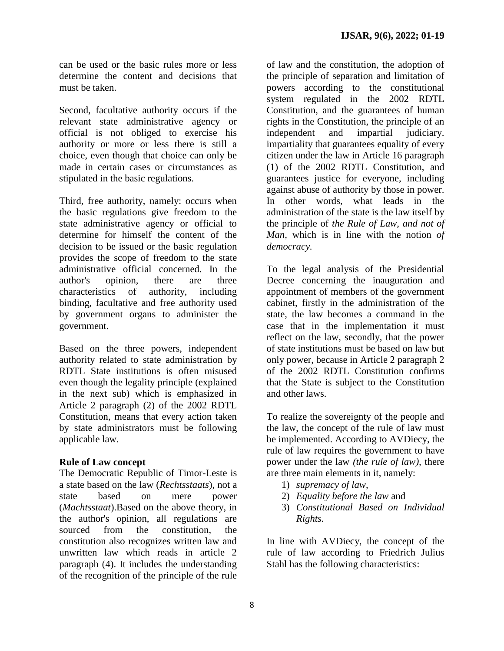can be used or the basic rules more or less determine the content and decisions that must be taken.

Second, facultative authority occurs if the relevant state administrative agency or official is not obliged to exercise his authority or more or less there is still a choice, even though that choice can only be made in certain cases or circumstances as stipulated in the basic regulations.

Third, free authority, namely: occurs when the basic regulations give freedom to the state administrative agency or official to determine for himself the content of the decision to be issued or the basic regulation provides the scope of freedom to the state administrative official concerned. In the author's opinion, there are three characteristics of authority, including binding, facultative and free authority used by government organs to administer the government.

Based on the three powers, independent authority related to state administration by RDTL State institutions is often misused even though the legality principle (explained in the next sub) which is emphasized in Article 2 paragraph (2) of the 2002 RDTL Constitution, means that every action taken by state administrators must be following applicable law.

#### **Rule of Law concept**

The Democratic Republic of Timor-Leste is a state based on the law (*Rechtsstaats*), not a state based on mere power (*Machtsstaat*).Based on the above theory, in the author's opinion, all regulations are sourced from the constitution, the constitution also recognizes written law and unwritten law which reads in article 2 paragraph (4). It includes the understanding of the recognition of the principle of the rule

of law and the constitution, the adoption of the principle of separation and limitation of powers according to the constitutional system regulated in the 2002 RDTL Constitution, and the guarantees of human rights in the Constitution, the principle of an independent and impartial judiciary. impartiality that guarantees equality of every citizen under the law in Article 16 paragraph (1) of the 2002 RDTL Constitution, and guarantees justice for everyone, including against abuse of authority by those in power. In other words, what leads in the administration of the state is the law itself by the principle of *the Rule of Law, and not of Man,* which is in line with the notion *of democracy.*

To the legal analysis of the Presidential Decree concerning the inauguration and appointment of members of the government cabinet, firstly in the administration of the state, the law becomes a command in the case that in the implementation it must reflect on the law, secondly, that the power of state institutions must be based on law but only power, because in Article 2 paragraph 2 of the 2002 RDTL Constitution confirms that the State is subject to the Constitution and other laws.

To realize the sovereignty of the people and the law, the concept of the rule of law must be implemented. According to AVDiecy, the rule of law requires the government to have power under the law *(the rule of law),* there are three main elements in it, namely:

- 1) *supremacy of law*,
- 2) *Equality before the law* and
- 3) *Constitutional Based on Individual Rights.*

In line with AVDiecy, the concept of the rule of law according to Friedrich Julius Stahl has the following characteristics: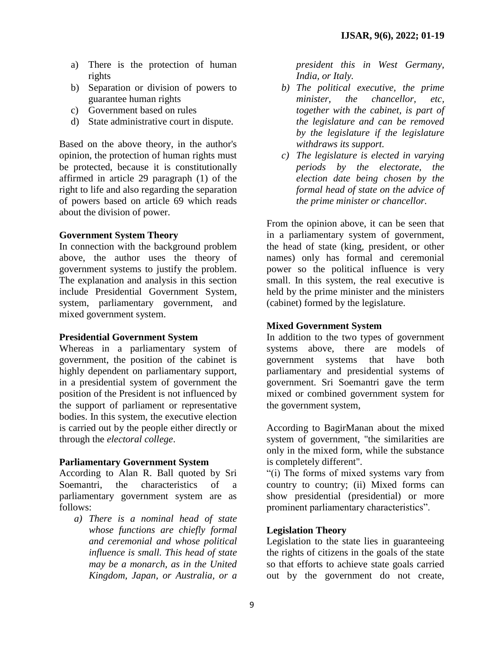- a) There is the protection of human rights
- b) Separation or division of powers to guarantee human rights
- c) Government based on rules
- d) State administrative court in dispute.

Based on the above theory, in the author's opinion, the protection of human rights must be protected, because it is constitutionally affirmed in article 29 paragraph (1) of the right to life and also regarding the separation of powers based on article 69 which reads about the division of power.

#### **Government System Theory**

In connection with the background problem above, the author uses the theory of government systems to justify the problem. The explanation and analysis in this section include Presidential Government System, system, parliamentary government, and mixed government system.

#### **Presidential Government System**

Whereas in a parliamentary system of government, the position of the cabinet is highly dependent on parliamentary support, in a presidential system of government the position of the President is not influenced by the support of parliament or representative bodies. In this system, the executive election is carried out by the people either directly or through the *electoral college*.

#### **Parliamentary Government System**

According to Alan R. Ball quoted by Sri Soemantri, the characteristics of a parliamentary government system are as follows:

*a) There is a nominal head of state whose functions are chiefly formal and ceremonial and whose political influence is small. This head of state may be a monarch, as in the United Kingdom, Japan, or Australia, or a* 

*president this in West Germany, India, or Italy.*

- *b) The political executive, the prime minister, the chancellor, etc, together with the cabinet, is part of the legislature and can be removed by the legislature if the legislature withdraws its support.*
- *c) The legislature is elected in varying periods by the electorate, the election date being chosen by the formal head of state on the advice of the prime minister or chancellor.*

From the opinion above, it can be seen that in a parliamentary system of government, the head of state (king, president, or other names) only has formal and ceremonial power so the political influence is very small. In this system, the real executive is held by the prime minister and the ministers (cabinet) formed by the legislature.

#### **Mixed Government System**

In addition to the two types of government systems above, there are models of government systems that have both parliamentary and presidential systems of government. Sri Soemantri gave the term mixed or combined government system for the government system,

According to BagirManan about the mixed system of government, "the similarities are only in the mixed form, while the substance is completely different".

"(i) The forms of mixed systems vary from country to country; (ii) Mixed forms can show presidential (presidential) or more prominent parliamentary characteristics".

#### **Legislation Theory**

Legislation to the state lies in guaranteeing the rights of citizens in the goals of the state so that efforts to achieve state goals carried out by the government do not create,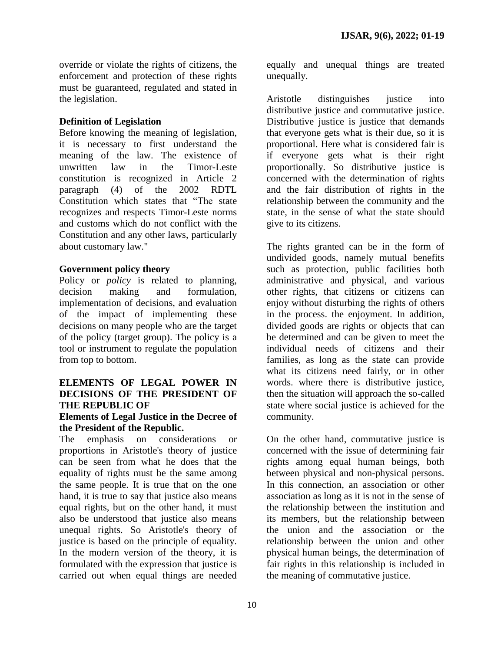override or violate the rights of citizens, the enforcement and protection of these rights must be guaranteed, regulated and stated in the legislation.

## **Definition of Legislation**

Before knowing the meaning of legislation, it is necessary to first understand the meaning of the law. The existence of unwritten law in the Timor-Leste constitution is recognized in Article 2 paragraph (4) of the 2002 RDTL Constitution which states that "The state recognizes and respects Timor-Leste norms and customs which do not conflict with the Constitution and any other laws, particularly about customary law."

## **Government policy theory**

Policy or *policy* is related to planning, decision making and formulation, implementation of decisions, and evaluation of the impact of implementing these decisions on many people who are the target of the policy (target group). The policy is a tool or instrument to regulate the population from top to bottom.

#### **ELEMENTS OF LEGAL POWER IN DECISIONS OF THE PRESIDENT OF THE REPUBLIC OF**

#### **Elements of Legal Justice in the Decree of the President of the Republic.**

The emphasis on considerations or proportions in Aristotle's theory of justice can be seen from what he does that the equality of rights must be the same among the same people. It is true that on the one hand, it is true to say that justice also means equal rights, but on the other hand, it must also be understood that justice also means unequal rights. So Aristotle's theory of justice is based on the principle of equality. In the modern version of the theory, it is formulated with the expression that justice is carried out when equal things are needed equally and unequal things are treated unequally.

Aristotle distinguishes justice into distributive justice and commutative justice. Distributive justice is justice that demands that everyone gets what is their due, so it is proportional. Here what is considered fair is if everyone gets what is their right proportionally. So distributive justice is concerned with the determination of rights and the fair distribution of rights in the relationship between the community and the state, in the sense of what the state should give to its citizens.

The rights granted can be in the form of undivided goods, namely mutual benefits such as protection, public facilities both administrative and physical, and various other rights, that citizens or citizens can enjoy without disturbing the rights of others in the process. the enjoyment. In addition, divided goods are rights or objects that can be determined and can be given to meet the individual needs of citizens and their families, as long as the state can provide what its citizens need fairly, or in other words. where there is distributive justice, then the situation will approach the so-called state where social justice is achieved for the community.

On the other hand, commutative justice is concerned with the issue of determining fair rights among equal human beings, both between physical and non-physical persons. In this connection, an association or other association as long as it is not in the sense of the relationship between the institution and its members, but the relationship between the union and the association or the relationship between the union and other physical human beings, the determination of fair rights in this relationship is included in the meaning of commutative justice.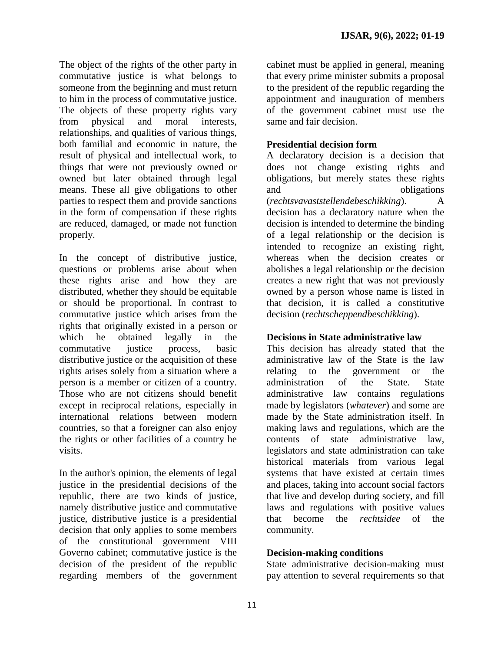The object of the rights of the other party in commutative justice is what belongs to someone from the beginning and must return to him in the process of commutative justice. The objects of these property rights vary from physical and moral interests, relationships, and qualities of various things, both familial and economic in nature, the result of physical and intellectual work, to things that were not previously owned or owned but later obtained through legal means. These all give obligations to other parties to respect them and provide sanctions in the form of compensation if these rights are reduced, damaged, or made not function properly.

In the concept of distributive justice, questions or problems arise about when these rights arise and how they are distributed, whether they should be equitable or should be proportional. In contrast to commutative justice which arises from the rights that originally existed in a person or which he obtained legally in the commutative justice process, basic distributive justice or the acquisition of these rights arises solely from a situation where a person is a member or citizen of a country. Those who are not citizens should benefit except in reciprocal relations, especially in international relations between modern countries, so that a foreigner can also enjoy the rights or other facilities of a country he visits.

In the author's opinion, the elements of legal justice in the presidential decisions of the republic, there are two kinds of justice, namely distributive justice and commutative justice, distributive justice is a presidential decision that only applies to some members of the constitutional government VIII Governo cabinet; commutative justice is the decision of the president of the republic regarding members of the government

cabinet must be applied in general, meaning that every prime minister submits a proposal to the president of the republic regarding the appointment and inauguration of members of the government cabinet must use the same and fair decision.

## **Presidential decision form**

A declaratory decision is a decision that does not change existing rights and obligations, but merely states these rights and obligations (*rechtsvavaststellendebeschikking*). A decision has a declaratory nature when the decision is intended to determine the binding of a legal relationship or the decision is intended to recognize an existing right, whereas when the decision creates or abolishes a legal relationship or the decision creates a new right that was not previously owned by a person whose name is listed in that decision, it is called a constitutive decision (*rechtscheppendbeschikking*).

## **Decisions in State administrative law**

This decision has already stated that the administrative law of the State is the law relating to the government or the administration of the State. State administrative law contains regulations made by legislators (*whatever*) and some are made by the State administration itself. In making laws and regulations, which are the contents of state administrative law, legislators and state administration can take historical materials from various legal systems that have existed at certain times and places, taking into account social factors that live and develop during society, and fill laws and regulations with positive values that become the *rechtsidee* of the community.

## **Decision-making conditions**

State administrative decision-making must pay attention to several requirements so that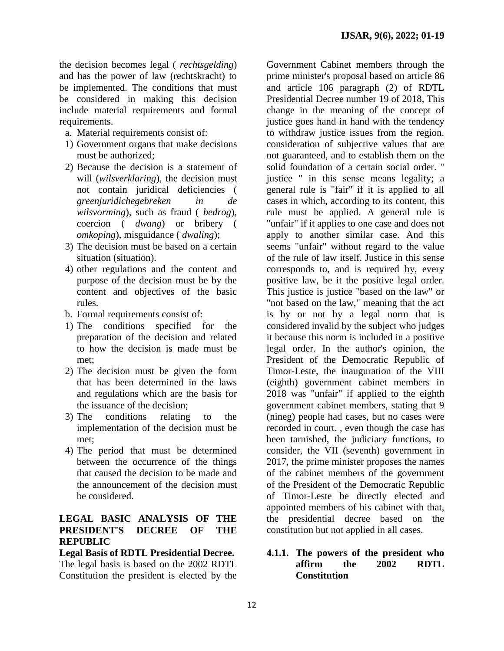the decision becomes legal ( *rechtsgelding*) and has the power of law (rechtskracht) to be implemented. The conditions that must be considered in making this decision include material requirements and formal requirements.

- a. Material requirements consist of:
- 1) Government organs that make decisions must be authorized;
- 2) Because the decision is a statement of will (*wilsverklaring*), the decision must not contain juridical deficiencies ( *greenjuridichegebreken in de wilsvorming*), such as fraud ( *bedrog*), coercion ( *dwang*) or bribery ( *omkoping*), misguidance ( *dwaling*);
- 3) The decision must be based on a certain situation (situation).
- 4) other regulations and the content and purpose of the decision must be by the content and objectives of the basic rules.
- b. Formal requirements consist of:
- 1) The conditions specified for the preparation of the decision and related to how the decision is made must be met;
- 2) The decision must be given the form that has been determined in the laws and regulations which are the basis for the issuance of the decision;
- 3) The conditions relating to the implementation of the decision must be met;
- 4) The period that must be determined between the occurrence of the things that caused the decision to be made and the announcement of the decision must be considered.

## **LEGAL BASIC ANALYSIS OF THE PRESIDENT'S DECREE OF THE REPUBLIC**

**Legal Basis of RDTL Presidential Decree.** The legal basis is based on the 2002 RDTL Constitution the president is elected by the

Government Cabinet members through the prime minister's proposal based on article 86 and article 106 paragraph (2) of RDTL Presidential Decree number 19 of 2018, This change in the meaning of the concept of justice goes hand in hand with the tendency to withdraw justice issues from the region. consideration of subjective values that are not guaranteed, and to establish them on the solid foundation of a certain social order. " justice " in this sense means legality; a general rule is "fair" if it is applied to all cases in which, according to its content, this rule must be applied. A general rule is "unfair" if it applies to one case and does not apply to another similar case. And this seems "unfair" without regard to the value of the rule of law itself. Justice in this sense corresponds to, and is required by, every positive law, be it the positive legal order. This justice is justice "based on the law" or "not based on the law," meaning that the act is by or not by a legal norm that is considered invalid by the subject who judges it because this norm is included in a positive legal order. In the author's opinion, the President of the Democratic Republic of Timor-Leste, the inauguration of the VIII (eighth) government cabinet members in 2018 was "unfair" if applied to the eighth government cabinet members, stating that 9 (nineg) people had cases, but no cases were recorded in court. , even though the case has been tarnished, the judiciary functions, to consider, the VII (seventh) government in 2017, the prime minister proposes the names of the cabinet members of the government of the President of the Democratic Republic of Timor-Leste be directly elected and appointed members of his cabinet with that, the presidential decree based on the constitution but not applied in all cases.

## **4.1.1. The powers of the president who affirm the 2002 RDTL Constitution**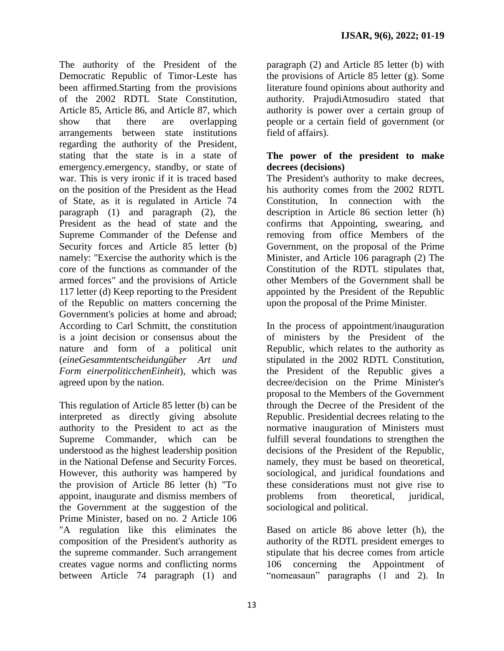The authority of the President of the Democratic Republic of Timor-Leste has been affirmed.Starting from the provisions of the 2002 RDTL State Constitution, Article 85, Article 86, and Article 87, which show that there are overlapping arrangements between state institutions regarding the authority of the President, stating that the state is in a state of emergency.emergency, standby, or state of war. This is very ironic if it is traced based on the position of the President as the Head of State, as it is regulated in Article 74 paragraph (1) and paragraph (2), the President as the head of state and the Supreme Commander of the Defense and Security forces and Article 85 letter (b) namely: "Exercise the authority which is the core of the functions as commander of the armed forces" and the provisions of Article 117 letter (d) Keep reporting to the President of the Republic on matters concerning the Government's policies at home and abroad; According to Carl Schmitt, the constitution is a joint decision or consensus about the nature and form of a political unit (*eineGesammtentscheidungüber Art und Form einerpoliticchenEinheit*), which was agreed upon by the nation.

This regulation of Article 85 letter (b) can be interpreted as directly giving absolute authority to the President to act as the Supreme Commander, which can be understood as the highest leadership position in the National Defense and Security Forces. However, this authority was hampered by the provision of Article 86 letter (h) "To appoint, inaugurate and dismiss members of the Government at the suggestion of the Prime Minister, based on no. 2 Article 106 "A regulation like this eliminates the composition of the President's authority as the supreme commander. Such arrangement creates vague norms and conflicting norms between Article 74 paragraph (1) and

paragraph (2) and Article 85 letter (b) with the provisions of Article 85 letter (g). Some literature found opinions about authority and authority. PrajudiAtmosudiro stated that authority is power over a certain group of people or a certain field of government (or field of affairs).

## **The power of the president to make decrees (decisions)**

The President's authority to make decrees, his authority comes from the 2002 RDTL Constitution, In connection with the description in Article 86 section letter (h) confirms that Appointing, swearing, and removing from office Members of the Government, on the proposal of the Prime Minister, and Article 106 paragraph (2) The Constitution of the RDTL stipulates that, other Members of the Government shall be appointed by the President of the Republic upon the proposal of the Prime Minister.

In the process of appointment/inauguration of ministers by the President of the Republic, which relates to the authority as stipulated in the 2002 RDTL Constitution, the President of the Republic gives a decree/decision on the Prime Minister's proposal to the Members of the Government through the Decree of the President of the Republic. Presidential decrees relating to the normative inauguration of Ministers must fulfill several foundations to strengthen the decisions of the President of the Republic, namely, they must be based on theoretical, sociological, and juridical foundations and these considerations must not give rise to problems from theoretical, juridical, sociological and political.

Based on article 86 above letter (h), the authority of the RDTL president emerges to stipulate that his decree comes from article 106 concerning the Appointment of "nomeasaun" paragraphs (1 and 2). In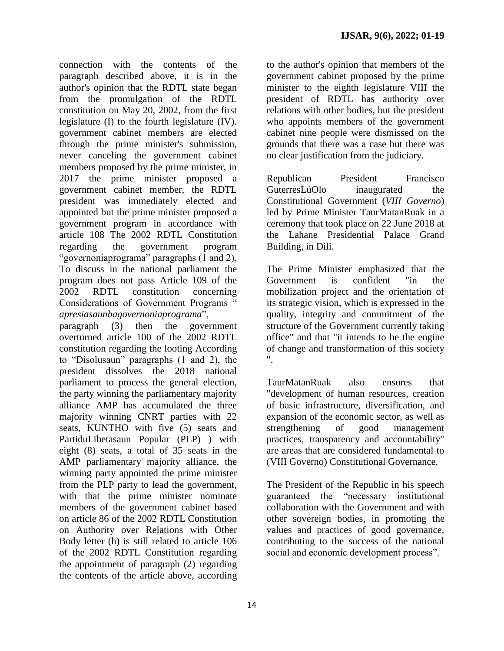connection with the contents of the paragraph described above, it is in the author's opinion that the RDTL state began from the promulgation of the RDTL constitution on May 20, 2002, from the first legislature (I) to the fourth legislature (IV). government cabinet members are elected through the prime minister's submission, never canceling the government cabinet members proposed by the prime minister, in 2017 the prime minister proposed a government cabinet member, the RDTL president was immediately elected and appointed but the prime minister proposed a government program in accordance with article 108 The 2002 RDTL Constitution regarding the government program "governoniaprograma" paragraphs (1 and 2), To discuss in the national parliament the program does not pass Article 109 of the 2002 RDTL constitution concerning Considerations of Government Programs " *apresiasaunbagovernoniaprograma*",

paragraph (3) then the government overturned article 100 of the 2002 RDTL constitution regarding the looting According to "Disolusaun" paragraphs (1 and 2), the president dissolves the 2018 national parliament to process the general election, the party winning the parliamentary majority alliance AMP has accumulated the three majority winning CNRT parties with 22 seats, KUNTHO with five (5) seats and PartiduLibetasaun Popular (PLP) ) with eight (8) seats, a total of 35 seats in the AMP parliamentary majority alliance, the winning party appointed the prime minister from the PLP party to lead the government, with that the prime minister nominate members of the government cabinet based on article 86 of the 2002 RDTL Constitution on Authority over Relations with Other Body letter (h) is still related to article 106 of the 2002 RDTL Constitution regarding the appointment of paragraph (2) regarding the contents of the article above, according to the author's opinion that members of the government cabinet proposed by the prime minister to the eighth legislature VIII the president of RDTL has authority over relations with other bodies, but the president who appoints members of the government cabinet nine people were dismissed on the grounds that there was a case but there was no clear justification from the judiciary.

Republican President Francisco GuterresLúOlo inaugurated the Constitutional Government (*VIII Governo*) led by Prime Minister TaurMatanRuak in a ceremony that took place on 22 June 2018 at the Lahane Presidential Palace Grand Building, in Dili.

The Prime Minister emphasized that the Government is confident "in the mobilization project and the orientation of its strategic vision, which is expressed in the quality, integrity and commitment of the structure of the Government currently taking office" and that "it intends to be the engine of change and transformation of this society ".

TaurMatanRuak also ensures that "development of human resources, creation of basic infrastructure, diversification, and expansion of the economic sector, as well as strengthening of good management practices, transparency and accountability" are areas that are considered fundamental to (VIII Governo) Constitutional Governance.

The President of the Republic in his speech guaranteed the "necessary institutional collaboration with the Government and with other sovereign bodies, in promoting the values and practices of good governance, contributing to the success of the national social and economic development process".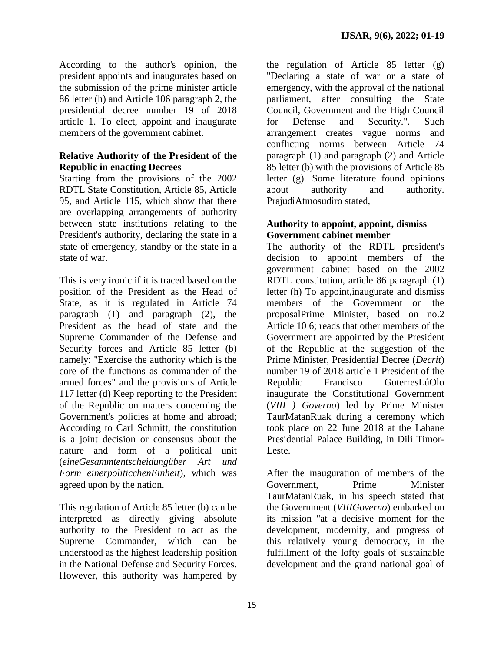According to the author's opinion, the president appoints and inaugurates based on the submission of the prime minister article 86 letter (h) and Article 106 paragraph 2, the presidential decree number 19 of 2018 article 1. To elect, appoint and inaugurate members of the government cabinet.

## **Relative Authority of the President of the Republic in enacting Decrees**

Starting from the provisions of the 2002 RDTL State Constitution, Article 85, Article 95, and Article 115, which show that there are overlapping arrangements of authority between state institutions relating to the President's authority, declaring the state in a state of emergency, standby or the state in a state of war.

This is very ironic if it is traced based on the position of the President as the Head of State, as it is regulated in Article 74 paragraph (1) and paragraph (2), the President as the head of state and the Supreme Commander of the Defense and Security forces and Article 85 letter (b) namely: "Exercise the authority which is the core of the functions as commander of the armed forces" and the provisions of Article 117 letter (d) Keep reporting to the President of the Republic on matters concerning the Government's policies at home and abroad; According to Carl Schmitt, the constitution is a joint decision or consensus about the nature and form of a political unit (*eineGesammtentscheidungüber Art und Form einerpoliticchenEinheit*), which was agreed upon by the nation.

This regulation of Article 85 letter (b) can be interpreted as directly giving absolute authority to the President to act as the Supreme Commander, which can be understood as the highest leadership position in the National Defense and Security Forces. However, this authority was hampered by

the regulation of Article 85 letter (g) "Declaring a state of war or a state of emergency, with the approval of the national parliament, after consulting the State Council, Government and the High Council for Defense and Security.". Such arrangement creates vague norms and conflicting norms between Article 74 paragraph (1) and paragraph (2) and Article 85 letter (b) with the provisions of Article 85 letter (g). Some literature found opinions about authority and authority. PrajudiAtmosudiro stated,

## **Authority to appoint, appoint, dismiss Government cabinet member**

The authority of the RDTL president's decision to appoint members of the government cabinet based on the 2002 RDTL constitution, article 86 paragraph (1) letter (h) To appoint,inaugurate and dismiss members of the Government on the proposalPrime Minister, based on no.2 Article 10 6; reads that other members of the Government are appointed by the President of the Republic at the suggestion of the Prime Minister, Presidential Decree (*Decrit*) number 19 of 2018 article 1 President of the Republic Francisco GuterresLúOlo inaugurate the Constitutional Government (*VIII ) Governo*) led by Prime Minister TaurMatanRuak during a ceremony which took place on 22 June 2018 at the Lahane Presidential Palace Building, in Dili Timor-Leste.

After the inauguration of members of the Government, Prime Minister TaurMatanRuak, in his speech stated that the Government (*VIIIGoverno*) embarked on its mission "at a decisive moment for the development, modernity, and progress of this relatively young democracy, in the fulfillment of the lofty goals of sustainable development and the grand national goal of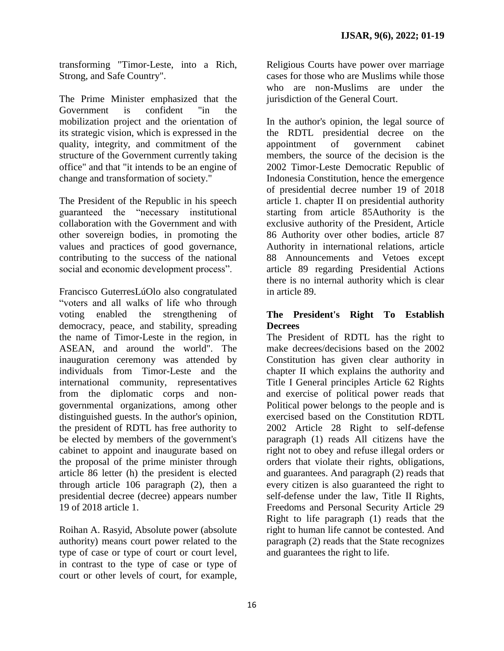transforming "Timor-Leste, into a Rich, Strong, and Safe Country".

The Prime Minister emphasized that the Government is confident "in the mobilization project and the orientation of its strategic vision, which is expressed in the quality, integrity, and commitment of the structure of the Government currently taking office" and that "it intends to be an engine of change and transformation of society."

The President of the Republic in his speech guaranteed the "necessary institutional collaboration with the Government and with other sovereign bodies, in promoting the values and practices of good governance, contributing to the success of the national social and economic development process".

Francisco GuterresLúOlo also congratulated "voters and all walks of life who through voting enabled the strengthening of democracy, peace, and stability, spreading the name of Timor-Leste in the region, in ASEAN, and around the world". The inauguration ceremony was attended by individuals from Timor-Leste and the international community, representatives from the diplomatic corps and nongovernmental organizations, among other distinguished guests. In the author's opinion, the president of RDTL has free authority to be elected by members of the government's cabinet to appoint and inaugurate based on the proposal of the prime minister through article 86 letter (h) the president is elected through article 106 paragraph (2), then a presidential decree (decree) appears number 19 of 2018 article 1.

Roihan A. Rasyid, Absolute power (absolute authority) means court power related to the type of case or type of court or court level. in contrast to the type of case or type of court or other levels of court, for example,

Religious Courts have power over marriage cases for those who are Muslims while those who are non-Muslims are under the jurisdiction of the General Court.

In the author's opinion, the legal source of the RDTL presidential decree on the appointment of government cabinet members, the source of the decision is the 2002 Timor-Leste Democratic Republic of Indonesia Constitution, hence the emergence of presidential decree number 19 of 2018 article 1. chapter II on presidential authority starting from article 85Authority is the exclusive authority of the President, Article 86 Authority over other bodies, article 87 Authority in international relations, article 88 Announcements and Vetoes except article 89 regarding Presidential Actions there is no internal authority which is clear in article 89.

## **The President's Right To Establish Decrees**

The President of RDTL has the right to make decrees/decisions based on the 2002 Constitution has given clear authority in chapter II which explains the authority and Title I General principles Article 62 Rights and exercise of political power reads that Political power belongs to the people and is exercised based on the Constitution RDTL 2002 Article 28 Right to self-defense paragraph (1) reads All citizens have the right not to obey and refuse illegal orders or orders that violate their rights, obligations, and guarantees. And paragraph (2) reads that every citizen is also guaranteed the right to self-defense under the law, Title II Rights, Freedoms and Personal Security Article 29 Right to life paragraph (1) reads that the right to human life cannot be contested. And paragraph (2) reads that the State recognizes and guarantees the right to life.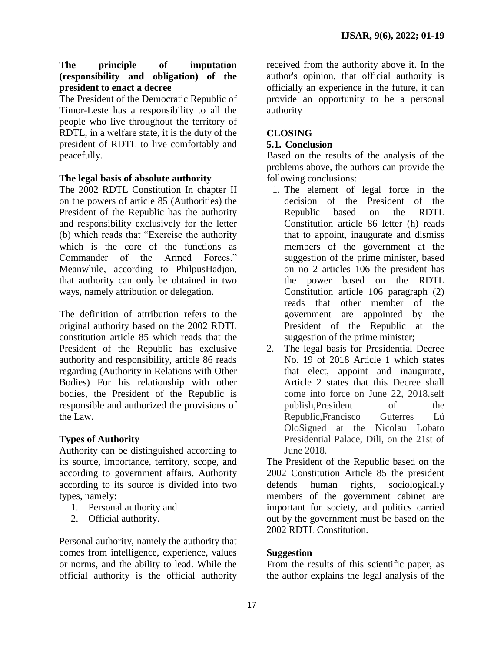## **The principle of imputation (responsibility and obligation) of the president to enact a decree**

The President of the Democratic Republic of Timor-Leste has a responsibility to all the people who live throughout the territory of RDTL, in a welfare state, it is the duty of the president of RDTL to live comfortably and peacefully.

## **The legal basis of absolute authority**

The 2002 RDTL Constitution In chapter II on the powers of article 85 (Authorities) the President of the Republic has the authority and responsibility exclusively for the letter (b) which reads that "Exercise the authority which is the core of the functions as Commander of the Armed Forces." Meanwhile, according to PhilpusHadjon, that authority can only be obtained in two ways, namely attribution or delegation.

The definition of attribution refers to the original authority based on the 2002 RDTL constitution article 85 which reads that the President of the Republic has exclusive authority and responsibility, article 86 reads regarding (Authority in Relations with Other Bodies) For his relationship with other bodies, the President of the Republic is responsible and authorized the provisions of the Law.

## **Types of Authority**

Authority can be distinguished according to its source, importance, territory, scope, and according to government affairs. Authority according to its source is divided into two types, namely:

- 1. Personal authority and
- 2. Official authority.

Personal authority, namely the authority that comes from intelligence, experience, values or norms, and the ability to lead. While the official authority is the official authority

received from the authority above it. In the author's opinion, that official authority is officially an experience in the future, it can provide an opportunity to be a personal authority

## **CLOSING**

#### **5.1. Conclusion**

Based on the results of the analysis of the problems above, the authors can provide the following conclusions:

- 1. The element of legal force in the decision of the President of the Republic based on the RDTL Constitution article 86 letter (h) reads that to appoint, inaugurate and dismiss members of the government at the suggestion of the prime minister, based on no 2 articles 106 the president has the power based on the RDTL Constitution article 106 paragraph (2) reads that other member of the government are appointed by the President of the Republic at the suggestion of the prime minister;
- 2. The legal basis for Presidential Decree No. 19 of 2018 Article 1 which states that elect, appoint and inaugurate, Article 2 states that this Decree shall come into force on June 22, 2018.self publish, President of the Republic,Francisco Guterres Lú OloSigned at the Nicolau Lobato Presidential Palace, Dili, on the 21st of June 2018.

The President of the Republic based on the 2002 Constitution Article 85 the president defends human rights, sociologically members of the government cabinet are important for society, and politics carried out by the government must be based on the 2002 RDTL Constitution.

#### **Suggestion**

From the results of this scientific paper, as the author explains the legal analysis of the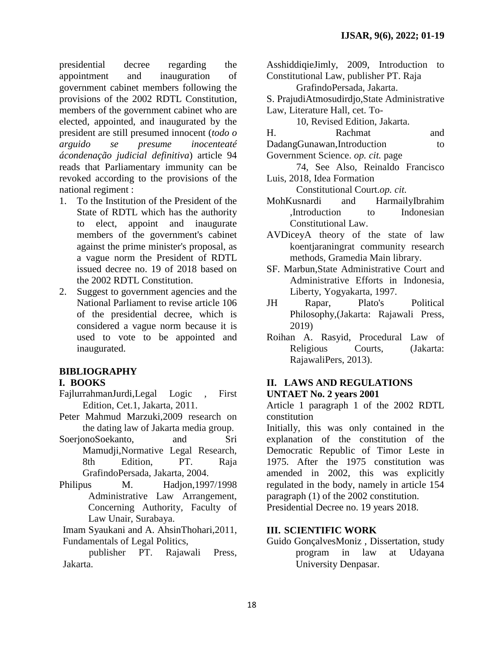presidential decree regarding the appointment and inauguration of government cabinet members following the provisions of the 2002 RDTL Constitution, members of the government cabinet who are elected, appointed, and inaugurated by the president are still presumed innocent (*todo o arguido se presume inocenteaté ácondenação judicial definitiva*) article 94 reads that Parliamentary immunity can be revoked according to the provisions of the national regiment :

- 1. To the Institution of the President of the State of RDTL which has the authority to elect, appoint and inaugurate members of the government's cabinet against the prime minister's proposal, as a vague norm the President of RDTL issued decree no. 19 of 2018 based on the 2002 RDTL Constitution.
- 2. Suggest to government agencies and the National Parliament to revise article 106 of the presidential decree, which is considered a vague norm because it is used to vote to be appointed and inaugurated.

## **BIBLIOGRAPHY**

#### **I. BOOKS**

- FajlurrahmanJurdi,Legal Logic *,* First Edition, Cet.1, Jakarta, 2011.
- Peter Mahmud Marzuki,2009 research on the dating law of Jakarta media group.
- SoerjonoSoekanto, and Sri Mamudji,Normative Legal Research, 8th Edition, PT. Raja GrafindoPersada, Jakarta, 2004.
- Philipus M. Hadjon, 1997/1998 Administrative Law Arrangement, Concerning Authority, Faculty of Law Unair, Surabaya.

Imam Syaukani and A. AhsinThohari,2011, Fundamentals of Legal Politics,

publisher PT. Rajawali Press, Jakarta.

- AsshiddiqieJimly, 2009, Introduction to Constitutional Law, publisher PT. Raja
- GrafindoPersada, Jakarta.
- S. PrajudiAtmosudirdjo,State Administrative Law, Literature Hall, cet. To-

10, Revised Edition, Jakarta.

| H. | Rachmat | and |
|----|---------|-----|
|    |         |     |

- DadangGunawan,Introduction to
- Government Science. *op. cit.* page
- 74, See Also, Reinaldo Francisco Luis, 2018, Idea Formation

Constitutional Court.*op. cit.*

- MohKusnardi and HarmailyIbrahim ,Introduction to Indonesian Constitutional Law.
- AVDiceyA theory of the state of law koentjaraningrat community research methods, Gramedia Main library.
- SF. Marbun,State Administrative Court and Administrative Efforts in Indonesia, Liberty, Yogyakarta, 1997.
- JH Rapar, Plato's Political Philosophy,(Jakarta: Rajawali Press, 2019)
- Roihan A. Rasyid, Procedural Law of Religious Courts, (Jakarta: RajawaliPers, 2013).

## **II. LAWS AND REGULATIONS UNTAET No. 2 years 2001**

Article 1 paragraph 1 of the 2002 RDTL constitution

Initially, this was only contained in the explanation of the constitution of the Democratic Republic of Timor Leste in 1975. After the 1975 constitution was amended in 2002, this was explicitly regulated in the body, namely in article 154 paragraph (1) of the 2002 constitution. Presidential Decree no. 19 years 2018.

## **III. SCIENTIFIC WORK**

Guido GonçalvesMoniz , Dissertation, study program in law at Udayana University Denpasar.